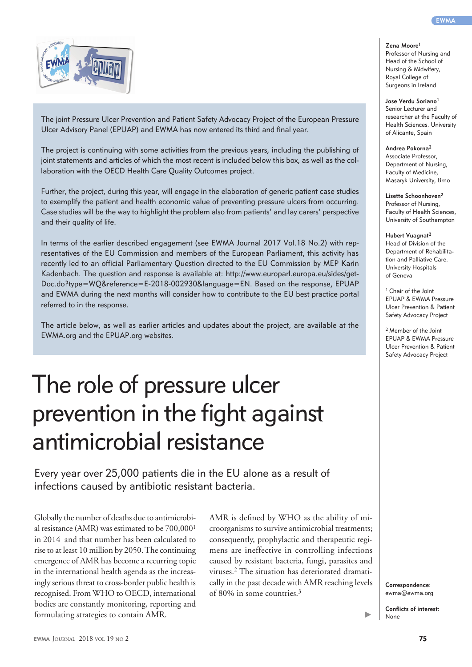The joint Pressure Ulcer Prevention and Patient Safety Advocacy Project of the European Pressure Ulcer Advisory Panel (EPUAP) and EWMA has now entered its third and final year.

The project is continuing with some activities from the previous years, including the publishing of joint statements and articles of which the most recent is included below this box, as well as the collaboration with the OECD Health Care Quality Outcomes project.

Further, the project, during this year, will engage in the elaboration of generic patient case studies to exemplify the patient and health economic value of preventing pressure ulcers from occurring. Case studies will be the way to highlight the problem also from patients' and lay carers' perspective and their quality of life.

In terms of the earlier described engagement (see EWMA Journal 2017 Vol.18 No.2) with representatives of the EU Commission and members of the European Parliament, this activity has recently led to an official Parliamentary Question directed to the EU Commission by MEP Karin Kadenbach. The question and response is available at: http://www.europarl.europa.eu/sides/get-Doc.do?type=WQ&reference=E-2018-002930&language=EN. Based on the response, EPUAP and EWMA during the next months will consider how to contribute to the EU best practice portal referred to in the response.

The article below, as well as earlier articles and updates about the project, are available at the EWMA.org and the EPUAP.org websites.

## The role of pressure ulcer prevention in the fight against antimicrobial resistance

Every year over 25,000 patients die in the EU alone as a result of infections caused by antibiotic resistant bacteria.

Globally the number of deaths due to antimicrobial resistance (AMR) was estimated to be 700,0001 in 2014 and that number has been calculated to rise to at least 10 million by 2050. The continuing emergence of AMR has become a recurring topic in the international health agenda as the increasingly serious threat to cross-border public health is recognised. From WHO to OECD, international bodies are constantly monitoring, reporting and formulating strategies to contain AMR.

AMR is defined by WHO as the ability of microorganisms to survive antimicrobial treatments; consequently, prophylactic and therapeutic regimens are ineffective in controlling infections caused by resistant bacteria, fungi, parasites and viruses.2 The situation has deteriorated dramatically in the past decade with AMR reaching levels of 80% in some countries.3

**Zena Moore1**

Professor of Nursing and Head of the School of Nursing & Midwifery, Royal College of Surgeons in Ireland

**Jose Verdu Soriano1** Senior Lecturer and researcher at the Faculty of Health Sciences. University of Alicante, Spain

**Andrea Pokorna2** Associate Professor, Department of Nursing, Faculty of Medicine,

Masaryk University, Brno

**Lisette Schoonhoven2** Professor of Nursing, Faculty of Health Sciences, University of Southampton

**Hubert Vuagnat2** Head of Division of the Department of Rehabilitation and Palliative Care. University Hospitals of Geneva

<sup>1</sup> Chair of the Joint EPUAP & EWMA Pressure Ulcer Prevention & Patient Safety Advocacy Project

2 Member of the Joint EPUAP & EWMA Pressure Ulcer Prevention & Patient Safety Advocacy Project

**Correspondence:**  ewma@ewma.org

**Conflicts of interest:** None

ь